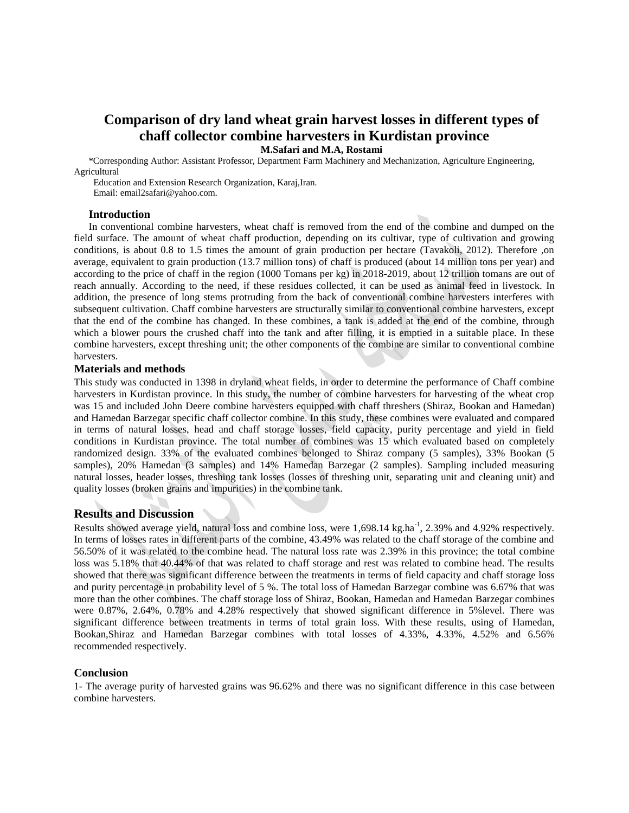## **Comparison of dry land wheat grain harvest losses in different types of chaff collector combine harvesters in Kurdistan province**

**M.Safari and M.A, Rostami**

\*Corresponding Author: Assistant Professor, Department Farm Machinery and Mechanization, Agriculture Engineering, Agricultural

 Education and Extension Research Organization, Karaj,Iran. Email: email2safari@yahoo.com.

#### **Introduction**

In conventional combine harvesters, wheat chaff is removed from the end of the combine and dumped on the field surface. The amount of wheat chaff production, depending on its cultivar, type of cultivation and growing conditions, is about 0.8 to 1.5 times the amount of grain production per hectare (Tavakoli, 2012). Therefore ,on average, equivalent to grain production (13.7 million tons) of chaff is produced (about 14 million tons per year) and according to the price of chaff in the region (1000 Tomans per kg) in 2018-2019, about 12 trillion tomans are out of reach annually. According to the need, if these residues collected, it can be used as animal feed in livestock. In addition, the presence of long stems protruding from the back of conventional combine harvesters interferes with subsequent cultivation. Chaff combine harvesters are structurally similar to conventional combine harvesters, except that the end of the combine has changed. In these combines, a tank is added at the end of the combine, through which a blower pours the crushed chaff into the tank and after filling, it is emptied in a suitable place. In these combine harvesters, except threshing unit; the other components of the combine are similar to conventional combine harvesters.

#### **Materials and methods**

This study was conducted in 1398 in dryland wheat fields, in order to determine the performance of Chaff combine harvesters in Kurdistan province. In this study, the number of combine harvesters for harvesting of the wheat crop was 15 and included John Deere combine harvesters equipped with chaff threshers (Shiraz, Bookan and Hamedan) and Hamedan Barzegar specific chaff collector combine. In this study, these combines were evaluated and compared in terms of natural losses, head and chaff storage losses, field capacity, purity percentage and yield in field conditions in Kurdistan province. The total number of combines was 15 which evaluated based on completely randomized design. 33% of the evaluated combines belonged to Shiraz company (5 samples), 33% Bookan (5 samples), 20% Hamedan (3 samples) and 14% Hamedan Barzegar (2 samples). Sampling included measuring natural losses, header losses, threshing tank losses (losses of threshing unit, separating unit and cleaning unit) and quality losses (broken grains and impurities) in the combine tank.

#### **Results and Discussion**

Results showed average yield, natural loss and combine loss, were 1,698.14 kg.ha<sup>-1</sup>, 2.39% and 4.92% respectively. In terms of losses rates in different parts of the combine, 43.49% was related to the chaff storage of the combine and 56.50% of it was related to the combine head. The natural loss rate was 2.39% in this province; the total combine loss was 5.18% that 40.44% of that was related to chaff storage and rest was related to combine head. The results showed that there was significant difference between the treatments in terms of field capacity and chaff storage loss and purity percentage in probability level of 5 %. The total loss of Hamedan Barzegar combine was 6.67% that was more than the other combines. The chaff storage loss of Shiraz, Bookan, Hamedan and Hamedan Barzegar combines were 0.87%, 2.64%, 0.78% and 4.28% respectively that showed significant difference in 5%level. There was significant difference between treatments in terms of total grain loss. With these results, using of Hamedan, Bookan,Shiraz and Hamedan Barzegar combines with total losses of 4.33%, 4.33%, 4.52% and 6.56% recommended respectively.

#### **Conclusion**

1- The average purity of harvested grains was 96.62% and there was no significant difference in this case between combine harvesters.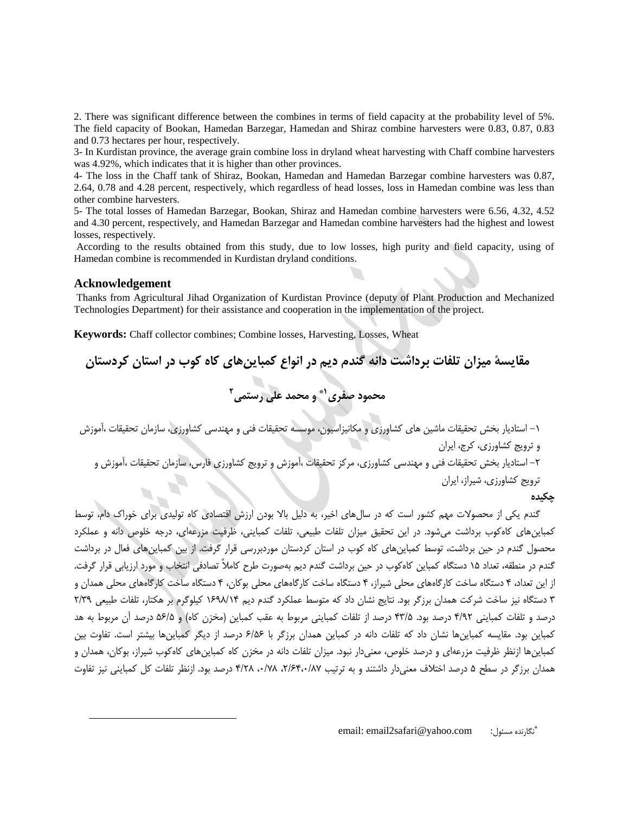2. There was significant difference between the combines in terms of field capacity at the probability level of 5%. The field capacity of Bookan, Hamedan Barzegar, Hamedan and Shiraz combine harvesters were 0.83, 0.87, 0.83 and 0.73 hectares per hour, respectively.

3- In Kurdistan province, the average grain combine loss in dryland wheat harvesting with Chaff combine harvesters was 4.92%, which indicates that it is higher than other provinces.

4- The loss in the Chaff tank of Shiraz, Bookan, Hamedan and Hamedan Barzegar combine harvesters was 0.87, 2.64, 0.78 and 4.28 percent, respectively, which regardless of head losses, loss in Hamedan combine was less than other combine harvesters.

5- The total losses of Hamedan Barzegar, Bookan, Shiraz and Hamedan combine harvesters were 6.56, 4.32, 4.52 and 4.30 percent, respectively, and Hamedan Barzegar and Hamedan combine harvesters had the highest and lowest losses, respectively.

According to the results obtained from this study, due to low losses, high purity and field capacity, using of Hamedan combine is recommended in Kurdistan dryland conditions.

#### **Acknowledgement**

 $\overline{a}$ 

Thanks from Agricultural Jihad Organization of Kurdistan Province (deputy of Plant Production and Mechanized Technologies Department) for their assistance and cooperation in the implementation of the project.

**Keywords:** Chaff collector combines; Combine losses, Harvesting, Losses, Wheat

**مقایسۀ میزان تلفات برداشت دانه گندم دیم در انواع کمباینهای کاه کوب در استان کردستان 2 و محمد علی رستمی 1\* محمود صفری**

-1 استادیار بخش تحقیقات ماشین های کشاورزی و مکانیزاسیون، موسسه تحقیقات فنی و مهندسی کشاورزی، سازمان تحقیقات ،آموزش و ترویج کشاورزی، کرج، ایران

-2 استادیار بخش تحقیقات فنی و مهندسی کشاورزی، مرکز تحقیقات ،آموزش و ترویج کشاورزی فارس، سازمان تحقیقات ،آموزش و

ترویج کشاورزی، شیراز، ایران

## **چکیده**

گندم یکی از محصوالت مهم کشور است که در سالهای اخیر، به دلیل باال بودن ارزش اقتصادی کاه تولیدی برای خوراک دام، توسط کمباینهای کاهکوب برداشت میشود. در این تحقیق میزان تلفات طبیعی، تلفات کمباینی، ظرفیت مزرعهای، درجه خلوص دانه و عملکرد محصول گندم در حین برداشت، توسط کمباینهای کاه کوب در استان کردستان موردبررسی قرار گرفت. از بین کمباینهای فعال در برداشت گندم در منطقه، تعداد 11 دستگاه کمباین کاهکوب در حین برداشت گندم دیم بهصورت طرح کامالً تصادفی انتخاب و مورد ارزیابی قرار گرفت. از این تعداد، 4 دستگاه ساخت کارگاههای محلی شیراز، 4 دستگاه ساخت کارگاههای محلی بوکان، 4 دستگاه ساخت کارگاههای محلی همدان و 3 دستگاه نیز ساخت شرکت همدان برزگر بود. نتایج نشان داد که متوسط عملکرد گندم دیم 1961/14 کیلوگرم بر هکتار، تلفات طبیعی 2/36 درصد و تلفات کمباینی ۴/۹۲ درصد بود. ۴۳/۵ درصد از تلفات کمباینی مربوط به عقب کمباین (مخزن کاه) و ۵۶/۵ درصد آن مربوط به هد کمباین بود. مقایسه کمباینها نشان داد که تلفات دانه در کمباین همدان برزگر با 9/19 درصد از دیگر کمباینها بیشتر است. تفاوت بین کمباینها ازنظر ظرفیت مزرعهای و درصد خلوص، معنیدار نبود. میزان تلفات دانه در مخزن کاه کمباینهای کاهکوب شیراز، بوکان، همدان و همدان برزگر در سطح ۵ درصد اختلاف معنیدار داشتند و به ترتیب ۲/۶۴،۰/۸۷، ۲/۶۴،۰/۸۷ درصد بود. ازنظر تلفات کل کمباینی نیز تفاوت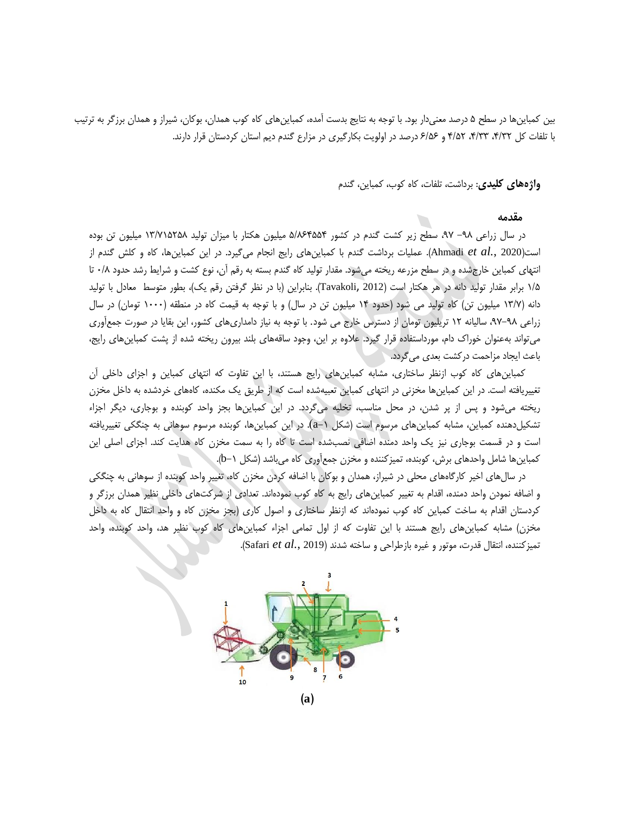بین کمباینها در سطح ۵ درصد معنیدار بود. با توجه به نتایج بدست آمده، کمباینهای کاه کوب همدان، بوکان، شیراز و همدان برزگر به ترتیب با تلفات کل ،4/32 ،4/33 4/12 و 9/19 درصد در اولویت بکارگیری در مزارع گندم دیم استان کردستان قرار دارند.

**واژههای کلیدی**: برداشت، تلفات، کاه کوب، کمباین، گندم

#### **مقدمه**

در سال زراعی ۹۸– ۹۷، سطح زیر کشت گندم در کشور ۵/۸۶۴۵۵۴ میلیون هکتار با میزان تولید ۱۳/۷۱۵۲۵۸ میلیون تن بوده است)<sup>2020</sup> *.*,*al et* Ahmadi). عملیات برداشت گندم با کمباینهای رایج انجام میگیرد. در این کمباینها، کاه و کلش گندم از انتهای کمباین خارجشده و در سطح مزرعه ریخته میشود. مقدار تولید کاه گندم بسته به رقم آن، نوع کشت و شرایط رشد حدود 0/1 تا 1/1 برابر مقدار تولید دانه در هر هکتار است )2012 ,Tavakoli). بنابراین )با در نظر گرفتن رقم یک(، بطور متوسط معادل با تولید دانه (۱۳/۷ میلیون تن) کاه تولید می شود (حدود ۱۴ میلیون تن در سال) و با توجه به قیمت کاه در منطقه (۱۰۰۰ تومان) در سال زراعی ،68-61 سالیانه 12 تریلیون تومان از دسترس خارج می شود. با توجه به نیاز دامداریهای کشور، این بقایا در صورت جمعآوری میتواند بهعنوان خوراک دام، مورداستفاده قرار گیرد. عالوه بر این، وجود ساقههای بلند بیرون ریخته شده از پشت کمباینهای رایج، باعث ایجاد مزاحمت درکشت بعدی میگردد.

کمباینهای کاه کوب ازنظر ساختاری، مشابه کمباینهای رایج هستند، با این تفاوت که انتهای کمباین و اجزای داخلی آن تغییریافته است. در این کمباینها مخزنی در انتهای کمباین تعبیهشده است که از طریق یک مکنده، کاههای خردشده به داخل مخزن ریخته میشود و پس از پر شدن، در محل مناسب، تخلیه میگردد. در این کمباینها بجز واحد کوبنده و بوجاری، دیگر اجزاء تشکیلدهنده کمباین، مشابه کمباینهای مرسوم است (شکل ۱−a). در این کمباینها، کوبنده مرسوم سوهانی به چنگکی تغییریافته است و در قسمت بوجاری نیز یک واحد دمنده اضافی نصبشده است تا کاه را به سمت مخزن کاه هدایت کند. اجزای اصلی این کمباینها شامل واحدهای برش، کوبنده، تمیزکننده و مخزن جمعآوری کاه میباشد )شکل -1b).

در سالهای اخیر کارگاههای محلی در شیراز، همدان و بوکان با اضافه کردن مخزن کاه، تغییر واحد کوبنده از سوهانی به چنگکی و اضافه نمودن واحد دمنده، اقدام به تغییر کمباینهای رایج به کاه کوب نمودهاند. تعدادی از شرکتهای داخلی نظیر همدان برزگر و کردستان اقدام به ساخت کمباین کاه کوب نمودهاند که ازنظر ساختاری و اصول کاری )بجز مخزن کاه و واحد انتقال کاه به داخل مخزن) مشابه کمباینهای رایج هستند با این تفاوت که از اول تمامی اجزاء کمباینهای کاه کوب نظیر هد، واحد کوبنده، واحد تمیزکننده، انتقال قدرت، موتور و غیره بازطراحی و ساخته شدند )<sup>2019</sup> *.*,*al et* Safari).



**<sup>)</sup>a(**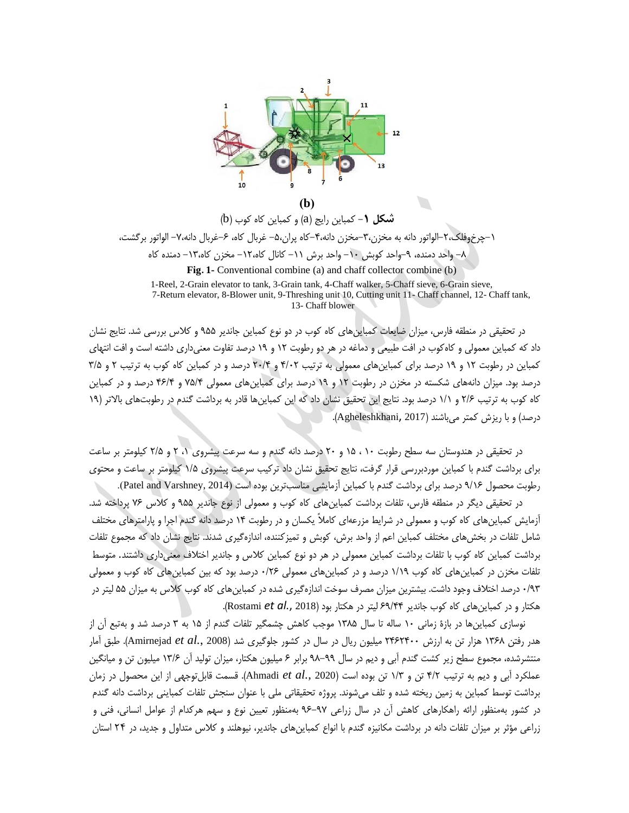

**شکل 1**− کمباین رایج (a) و کمباین کاه کوب (b) -1چرخوفلک-2،الواتور دانه به مخزن-3،مخزن دانه-4،کاه پران-1، غربال کاه، -9غربال دانه-8، الواتور برگشت، -1 واحد دمنده، -6واحد کوبش -10 واحد برش -11 کانال کاه-12، مخزن کاه-13، دمنده کاه **Fig. 1-** Conventional combine (a) and chaff collector combine (b)

1-Reel, 2-Grain elevator to tank, 3-Grain tank, 4-Chaff walker, 5-Chaff sieve, 6-Grain sieve, 7-Return elevator, 8-Blower unit, 9-Threshing unit 10, Cutting unit 11- Chaff channel, 12- Chaff tank, 13- Chaff blower

در تحقیقی در منطقه فارس، میزان ضایعات کمباینهای کاه کوب در دو نوع کمباین جاندیر 611 و کالس بررسی شد. نتایج نشان داد که کمباین معمولی و کاهکوب در افت طبیعی و دماغه در هر دو رطوبت 12 و 16 درصد تفاوت معنیداری داشته است و افت انتهای کمباین در رطوبت 12 و 16 درصد برای کمباینهای معمولی به ترتیب 4/02 و 20/4 درصد و در کمباین کاه کوب به ترتیب 2 و 3/1 درصد بود. میزان دانههای شکسته در مخزن در رطوبت 12 و 16 درصد برای کمباینهای معمولی 81/4 و 49/4 درصد و در کمباین کاه کوب به ترتیب 2/9 و 1/1 درصد بود. نتایج این تحقیق نشان داد که این کمباینها قادر به برداشت گندم در رطوبتهای باالتر )16 درصد( و با ریزش کمتر میباشند )2017 ,Agheleshkhani).

در تحقیقی در هندوستان سه سطح رطوبت 10 ، 11 و 20 درصد دانه گندم و سه سرعت پیشروی ،1 2 و 2/1 کیلومتر بر ساعت برای برداشت گندم با کمباین موردبررسی قرار گرفت، نتایج تحقیق نشان داد ترکیب سرعت پیشروی 1/1 کیلومتر بر ساعت و محتوی رطوبت محصول 6/19 درصد برای برداشت گندم با کمباین آزمایشی مناسبترین بوده است )2014 ,Varshney and Patel).

در تحقیقی دیگر در منطقه فارس، تلفات برداشت کمباینهای کاه کوب و معمولی از نوع جاندیر 611 و کالس 89 پرداخته شد. آزمایش کمباینهای کاه کوب و معمولی در شرایط مزرعهای کامالً یکسان و در رطوبت 14 درصد دانه گندم اجرا و پارامترهای مختلف شامل تلفات در بخشهای مختلف کمباین اعم از واحد برش، کوبش و تمیزکننده، اندازهگیری شدند. نتایج نشان داد که مجموع تلفات برداشت کمباین کاه کوب با تلفات برداشت کمباین معمولی در هر دو نوع کمباین کالس و جاندیر اختالف معنیداری داشتند. متوسط تلفات مخزن در کمباینهای کاه کوب 1/16 درصد و در کمباینهای معمولی 0/29 درصد بود که بین کمباینهای کاه کوب و معمولی 0/63 درصد اختالف وجود داشت. بیشترین میزان مصرف سوخت اندازهگیری شده در کمباینهای کاه کوب کالس به میزان 11 لیتر در هکتار و در کمباینهای کاه کوب جاندیر 96/44 لیتر در هکتار بود )2018 *.*,*al et* Rostami).

نوسازی کمباینها در بازۀ زمانی 10 ساله تا سال 1311 موجب کاهش چشمگیر تلفات گندم از 11 به 3 درصد شد و بهتبع آن از هدر رفتن 1391 هزار تن به ارزش 2492400 میلیون ریال در سال در کشور جلوگیری شد )<sup>2008</sup> *.*,*al et* Amirnejad). طبق آمار منتشرشده، مجموع سطح زیر کشت گندم آبی و دیم در سال 61-66 برابر 9 میلیون هکتار، میزان تولید آن 13/9 میلیون تن و میانگین عملکرد آبی و دیم به ترتیب 4/2 تن و 1/3 تن بوده است )<sup>2020</sup> *.*,*al et* Ahmadi). قسمت قابلتوجهی از این محصول در زمان برداشت توسط کمباین به زمین ریخته شده و تلف میشوند. پروژه تحقیقاتی ملی با عنوان سنجش تلفات کمباینی برداشت دانه گندم در کشور بهمنظور ارائه راهکارهای کاهش آن در سال زراعی 69-68 بهمنظور تعیین نوع و سهم هرکدام از عوامل انسانی، فنی و زراعی مؤثر بر میزان تلفات دانه در برداشت مکانیزه گندم با انواع کمباینهای جاندیر، نیوهلند و کالس متداول و جدید، در 24 استان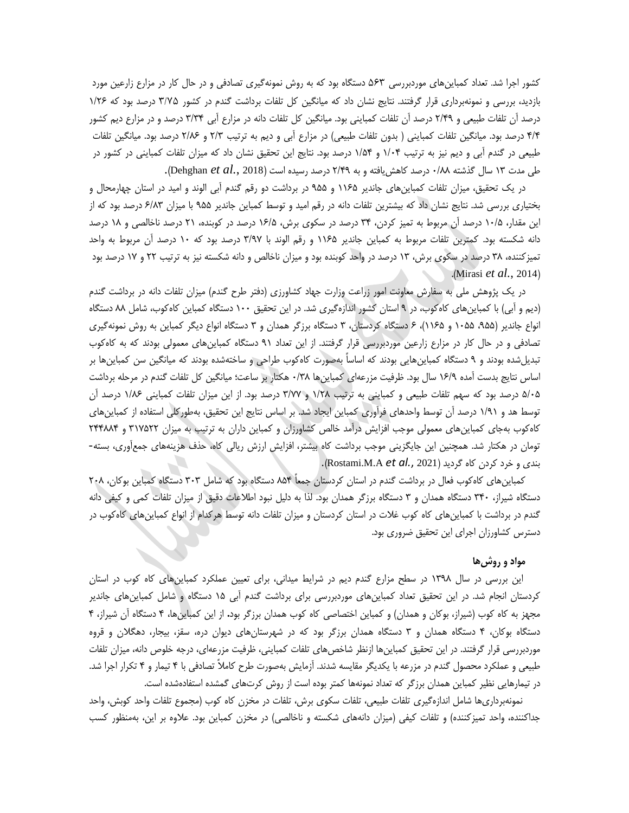کشور اجرا شد. تعداد کمباینهای موردبررسی 563 دستگاه بود که به روش نمونهگیری تصادفی و در حال کار در مزارع زارعین مورد بازدید، بررسی و نمونهبرداری قرار گرفتند. نتایج نشان داد که میانگین کل تلفات برداشت گندم در کشور 3/75 درصد بود که 1/29 درصد آن تلفات طبیعی و 2/46 درصد آن تلفات کمباینی بود. میانگین کل تلفات دانه در مزارع آبی 3/34 درصد و در مزارع دیم کشور ۴/۴ درصد بود. میانگین تلفات کمباینی ( بدون تلفات طبیعی) در مزارع آبی و دیم به ترتیب ۲/۳ و ۲/۸۶ درصد بود. میانگین تلفات طبیعی در گندم آبی و دیم نیز به ترتیب 1/04 و 1/14 درصد بود. نتایج این تحقیق نشان داد که میزان تلفات کمباینی در کشور در طی مدت 13 سال گذشته 0/11 درصد کاهشیافته و به 2/46 درصد رسیده است )<sup>2018</sup> *.*,*al et* Dehghan).

در یک تحقیق، میزان تلفات کمباینهای جاندیر 1191 و 611 در برداشت دو رقم گندم آبی الوند و امید در استان چهارمحال و بختیاری بررسی شد. نتایج نشان داد که بیشترین تلفات دانه در رقم امید و توسط کمباین جاندیر 611 با میزان 9/13 درصد بود که از این مقدار، 10/1 درصد آن مربوط به تمیز کردن، 34 درصد در سکوی برش، 19/1 درصد در کوبنده، 21 درصد ناخالصی و 11 درصد دانه شکسته بود. کمترین تلفات مربوط به کمباین جاندیر 1191 و رقم الوند با 3/68 درصد بود که 10 درصد آن مربوط به واحد تمیزکننده، 31 درصد در سکوی برش، 13 درصد در واحد کوبنده بود و میزان ناخالص و دانه شکسته نیز به ترتیب 22 و 18 درصد بود .(Mirasi *et al.*, 2014).

در یک پژوهش ملی به سفارش معاونت امور زراعت وزارت جهاد کشاورزی (دفتر طرح گندم) میزان تلفات دانه در برداشت گندم (دیم و آبی) با کمباینهای کاهکوب، در ۹ استان کشور اندازهگیری شد. در این تحقیق ۱۰۰ دستگاه کمباین کاهکوب، شامل ۸۸ دستگاه انواع جاندیر )،611 1011 و 1191(، 9 دستگاه کردستان، 3 دستگاه برزگر همدان و 3 دستگاه انواع دیگر کمباین به روش نمونهگیری تصادفی و در حال کار در مزارع زارعین موردبررسی قرار گرفتند. از این تعداد 61 دستگاه کمباینهای معمولی بودند که به کاهکوب تبدیلشده بودند و 6 دستگاه کمباینهایی بودند که اساساً بهصورت کاهکوب طراحی و ساختهشده بودند که میانگین سن کمباینها بر اساس نتایج بدست آمده 19/6 سال بود. ظرفیت مزرعهای کمباینها 0/31 هکتار بر ساعت؛ میانگین کل تلفات گندم در مرحله برداشت 1/01 درصد بود که سهم تلفات طبیعی و کمباینی به ترتیب 1/21 و 3/88 درصد بود. از این میزان تلفات کمباینی 1/19 درصد آن توسط هد و 1/61 درصد آن توسط واحدهای فرآوری کمباین ایجاد شد. بر اساس نتایج این تحقیق، بهطورکلی استفاده از کمباینهای کاهکوب بهجای کمباینهای معمولی موجب افزایش درآمد خالص کشاورزان و کمباین داران به ترتیب به میزان 318122 و 244114 تومان در هکتار شد. همچنین این جایگزینی موجب برداشت کاه بیشتر، افزایش ارزش ریالی کاه، حذف هزینههای جمعآوری، بسته- بندی و خرد کردن کاه گردید )2021 *.*,*al et* A.M.Rostami).

کمباینهای کاهکوب فعال در برداشت گندم در استان کردستان جمعاً 114 دستگاه بود که شامل 303 دستگاه کمباین بوکان، 201 دستگاه شیراز، 340 دستگاه همدان و 3 دستگاه برزگر همدان بود. لذا به دلیل نبود اطالعات دقیق از میزان تلفات کمی و کیفی دانه گندم در برداشت با کمباینهای کاه کوب غالت در استان کردستان و میزان تلفات دانه توسط هرکدام از انواع کمباینهای کاهکوب در دسترس کشاورزان اجرای این تحقیق ضروری بود.

#### **مواد و روشها**

این بررسی در سال 1361 در سطح مزارع گندم دیم در شرایط میدانی، برای تعیین عملکرد کمباینهای کاه کوب در استان کردستان انجام شد. در این تحقیق تعداد کمباینهای موردبررسی برای برداشت گندم آبی 11 دستگاه و شامل کمباینهای جاندیر مجهز به کاه کوب )شیراز، بوکان و همدان( و کمباین اختصاصی کاه کوب همدان برزگر بود**.** از این کمباینها، 4 دستگاه آن شیراز، 4 دستگاه بوکان، 4 دستگاه همدان و 3 دستگاه همدان برزگر بود که در شهرستانهای دیوان دره، سقز، بیجار، دهگالن و قروه موردبررسی قرار گرفتند. در این تحقیق کمباینها ازنظر شاخصهای تلفات کمباینی، ظرفیت مزرعهای، درجه خلوص دانه، میزان تلفات طبیعی و عملکرد محصول گندم در مزرعه با یکدیگر مقایسه شدند. آزمایش بهصورت طرح کامالً تصادفی با 4 تیمار و 4 تکرار اجرا شد. در تیمارهایی نظیر کمباین همدان برزگر که تعداد نمونهها کمتر بوده است از روش کرتهای گمشده استفادهشده است.

نمونهبرداریها شامل اندازهگیری تلفات طبیعی، تلفات سکوی برش، تلفات در مخزن کاه کوب )مجموع تلفات واحد کوبش، واحد جداکننده، واحد تمیزکننده) و تلفات کیفی (میزان دانههای شکسته و ناخالصی) در مخزن کمباین بود. علاوه بر این، بهمنظور کسب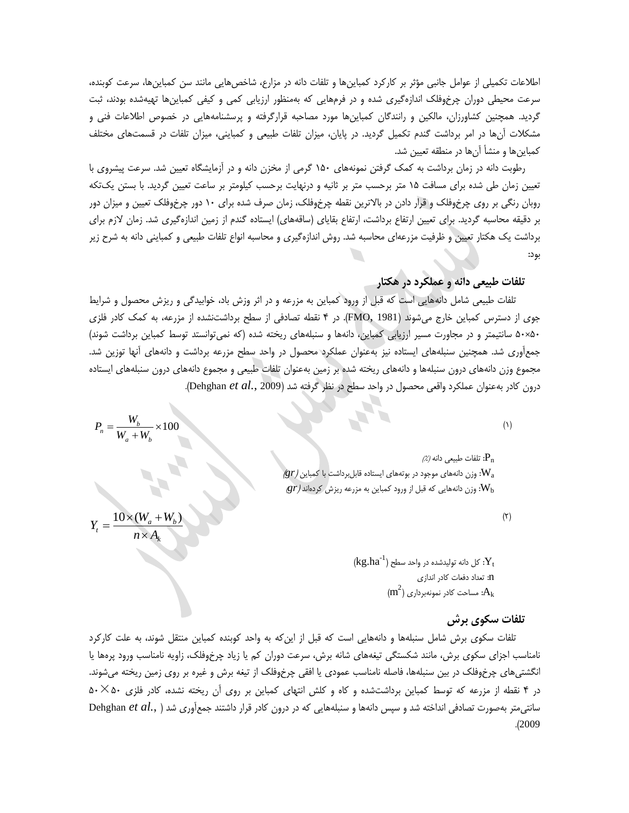اطالعات تکمیلی از عوامل جانبی مؤثر بر کارکرد کمباینها و تلفات دانه در مزارع، شاخصهایی مانند سن کمباینها، سرعت کوبنده، سرعت محیطی دوران چرخوفلک اندازهگیری شده و در فرمهایی که بهمنظور ارزیابی کمی و کیفی کمباینها تهیهشده بودند، ثبت گردید. همچنین کشاورزان، مالکین و رانندگان کمباینها مورد مصاحبه قرارگرفته و پرسشنامههایی در خصوص اطالعات فنی و مشکالت آنها در امر برداشت گندم تکمیل گردید. در پایان، میزان تلفات طبیعی و کمباینی، میزان تلفات در قسمتهای مختلف کمباینها و منشأ آنها در منطقه تعیین شد.

رطوبت دانه در زمان برداشت به کمک گرفتن نمونههای 110 گرمی از مخزن دانه و در آزمایشگاه تعیین شد. سرعت پیشروی با تعیین زمان طی شده برای مسافت 11 متر برحسب متر بر ثانیه و درنهایت برحسب کیلومتر بر ساعت تعیین گردید. با بستن یکتکه روبان رنگی بر روی چرخوفلک و قرار دادن در باالترین نقطه چرخوفلک، زمان صرف شده برای 10 دور چرخوفلک تعیین و میزان دور بر دقیقه محاسبه گردید. برای تعیین ارتفاع برداشت، ارتفاع بقایای (ساقههای) ایستاده گندم از زمین اندازهگیری شد. زمان لازم برای برداشت یک هکتار تعیین و ظرفیت مزرعهای محاسبه شد. روش اندازهگیری و محاسبه انواع تلفات طبیعی و کمباینی دانه به شرح زیر بود:

**تلفات طبیعی دانه و عملکرد در هکتار**

تلفات طبیعی شامل دانههایی است که قبل از ورود کمباین به مزرعه و در اثر وزش باد، خوابیدگی و ریزش محصول و شرایط جوی از دسترس کمباین خارج میشوند )1981 ,FMO). در 4 نقطه تصادفی از سطح برداشتنشده از مزرعه، به کمک کادر فلزی 10×10 سانتیمتر و در مجاورت مسیر ارزیابی کمباین، دانهها و سنبلههای ریخته شده )که نمیتوانستد توسط کمباین برداشت شوند( جمعآوری شد. همچنین سنبلههای ایستاده نیز بهعنوان عملکرد محصول در واحد سطح مزرعه برداشت و دانههای آنها توزین شد. مجموع وزن دانههای درون سنبلهها و دانههای ریخته شده بر زمین بهعنوان تلفات طبیعی و مجموع دانههای درون سنبلههای ایستاده درون کادر بهعنوان عملکرد واقعی محصول در واحد سطح در نظر گرفته شد )<sup>2009</sup> *.*,*al et* Dehghan).

 $(1)$ 

 $\mathcal{P}_\text{n}$ : تلفات طبیعی دانه *(٪)*  $\ket{gr}$  وزن دانههای موجود در بوتههای ایستاده قابلبرداشت با کمباین $\mathbf{W}_{\text{a}}$  $\ket{gr}$ : وزن دانههایی که قبل از ورود کمباین به مزرعه ریزش کردهاند  $W_{\rm b}$ 

 $(7)$ 

 $(\mathrm{kg.ha}^{-1})$  کل دانه تولیدشده در واحد سطح  $\mathrm{Y_{t}}$ n: تعداد دفعات کادر اندازی  $\rm (m^2)$  مساحت کادر نمونهبرداری: $\rm A_k$ 

#### **تلفات سکوی برش**

تلفات سکوی برش شامل سنبلهها و دانههایی است که قبل از اینکه به واحد کوبنده کمباین منتقل شوند، به علت کارکرد نامناسب اجزای سکوی برش، مانند شکستگی تیغههای شانه برش، سرعت دوران کم یا زیاد چرخوفلک، زاویه نامناسب ورود پرهها یا انگشتیهای چرخوفلک در بین سنبلهها، فاصله نامناسب عمودی یا افقی چرخوفلک از تیغه برش و غیره بر روی زمین ریخته میشوند. در 4 نقطه از مزرعه که توسط کمباین برداشتشده و کاه و کلش انتهای کمباین بر روی آن ریخته نشده، کادر فلزی 10×10 سانتیمتر بهصورت تصادفی انداخته شد و سپس دانهها و سنبلههایی که در درون کادر قرار داشتند جمعآوری شد ) *.*,*al et* Dehghan .)2009

$$
P_n = \frac{W_b}{W_a + W_b} \times 100
$$

$$
Y_t = \frac{10 \times (W_a + W_b)}{n \times A_k}
$$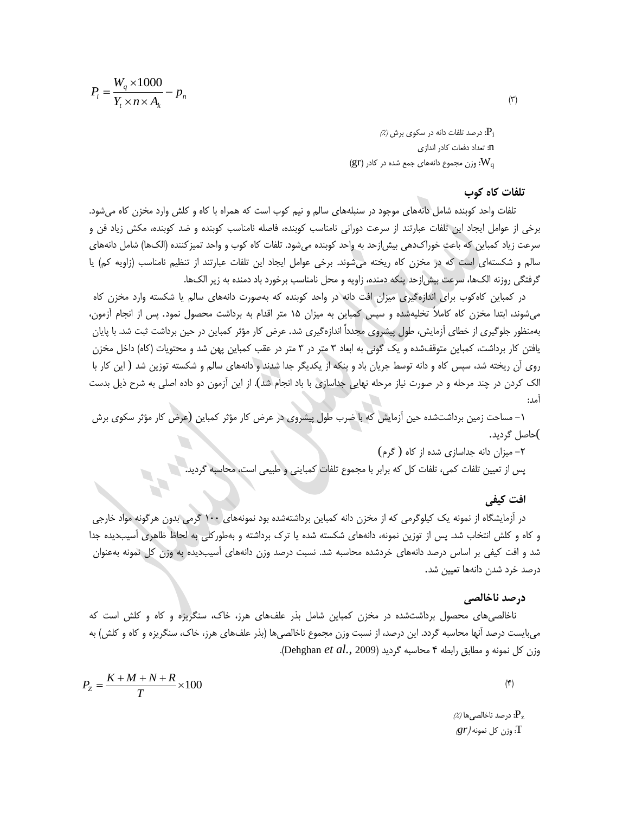$$
P_i = \frac{W_q \times 1000}{Y_t \times n \times A_k} - p_n
$$

 $\left| \beta \right\rangle$ : درصد تلفات دانه در سکوی برش *(٪)* n: تعداد دفعات کادر اندازی  $\left(\operatorname{gr}\right)$ : وزن مجموع دانههای جمع شده در کادر  $\operatorname{W_q}$ 

## **تلفات کاه کوب**

تلفات واحد کوبنده شامل دانههای موجود در سنبلههای سالم و نیم کوب است که همراه با کاه و کلش وارد مخزن کاه میشود. برخی از عوامل ایجاد این تلفات عبارتند از سرعت دورانی نامناسب کوبنده، فاصله نامناسب کوبنده و ضد کوبنده، مکش زیاد فن و سرعت زیاد کمباین که باعث خوراکدهی بیشازحد به واحد کوبنده میشود. تلفات کاه کوب و واحد تمیزکننده )الکها( شامل دانههای سالم و شکستهای است که در مخزن کاه ریخته میشوند. برخی عوامل ایجاد این تلفات عبارتند از تنظیم نامناسب )زاویه کم( یا گرفتگی روزنه الکها، سرعت بیشازحد پنکه دمنده، زاویه و محل نامناسب برخورد باد دمنده به زیر الکها.

در کمباین کاهکوب برای اندازهگیری میزان افت دانه در واحد کوبنده که بهصورت دانههای سالم یا شکسته وارد مخزن کاه میشوند، ابتدا مخزن کاه کامالً تخلیهشده و سپس کمباین به میزان 11 متر اقدام به برداشت محصول نمود. پس از انجام آزمون، بهمنظور جلوگیری از خطای آزمایش، طول پیشروی مجدداً اندازهگیری شد. عرض کار مؤثر کمباین در حین برداشت ثبت شد. با پایان یافتن کار برداشت، کمباین متوقفشده و یک گونی به ابعاد 3 متر در 3 متر در عقب کمباین پهن شد و محتویات )کاه( داخل مخزن روی آن ریخته شد، سپس کاه و دانه توسط جریان باد و پنکه از یکدیگر جدا شدند و دانههای سالم و شکسته توزین شد ( این کار با الک کردن در چند مرحله و در صورت نیاز مرحله نهایی جداسازی با باد انجام شد). از این آزمون دو داده اصلی به شرح ذیل بدست آمد:

-1 مساحت زمین برداشتشده حین آزمایش که با ضرب طول پیشروی در عرض کار مؤثر کمباین (عرض کار مؤثر سکوی برش )حاصل گردید.

> -2 میزان دانه جداسازی شده از کاه ( گرم) پس از تعیین تلفات کمی، تلفات کل که برابر با مجموع تلفات کمباینی و طبیعی است، محاسبه گردید.

## **افت کیفی**

در آزمایشگاه از نمونه یک کیلوگرمی که از مخزن دانه کمباین برداشتهشده بود نمونههای 100 گرمی بدون هرگونه مواد خارجی و کاه و کلش انتخاب شد. پس از توزین نمونه، دانههای شکسته شده یا ترک برداشته و بهطورکلی به لحاظ ظاهری آسیبدیده جدا شد و افت کیفی بر اساس درصد دانههای خردشده محاسبه شد. نسبت درصد وزن دانههای آسیبدیده به وزن کل نمونه بهعنوان درصد خرد شدن دانهها تعیین شد.

#### **درصد ناخالصی**

ناخالصیهای محصول برداشتشده در مخزن کمباین شامل بذر علفهای هرز، خاک، سنگریزه و کاه و کلش است که میبایست درصد آنها محاسبه گردد. این درصد، از نسبت وزن مجموع ناخالصیها )بذر علفهای هرز، خاک، سنگریزه و کاه و کلش( به وزن کل نمونه و مطابق رابطه 4 محاسبه گردید )<sup>2009</sup> *.*,*al et* Dehghan).

$$
P_Z = \frac{K + M + N + R}{T} \times 100\tag{5}
$$

 $\left| \% \right\rangle$ : درصد ناخالصیها /٪) T: وزن کل نمونه )*gr*)

 $(5)$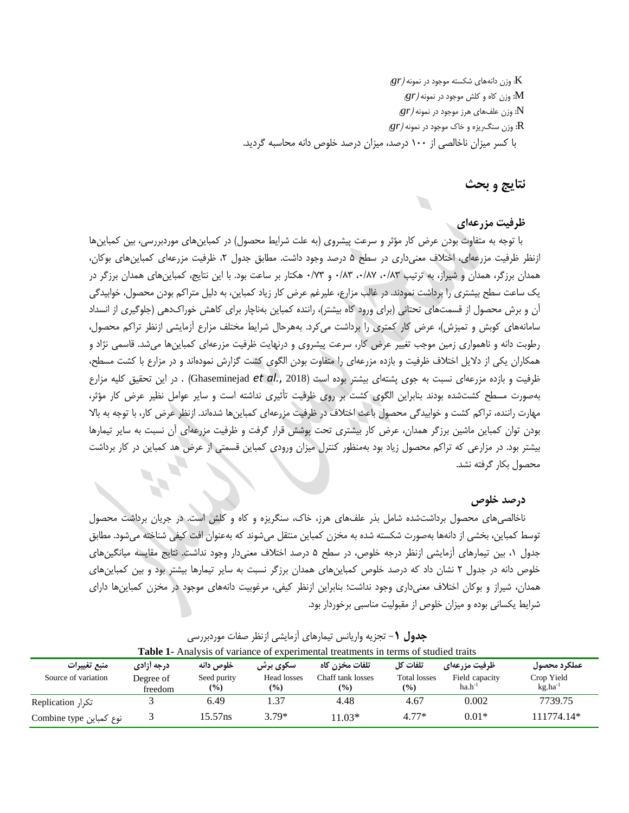$\ket{gr}$  وزن دانههای شکسته موجود در نمونه  $\mathrm{K}$ M: وزن کاه و کلش موجود در نمونه )*gr*) N: وزن علفهای هرز موجود در نمونه )*gr*) R: وزن سنگریزه و خاک موجود در نمونه )*gr*)

با کسر میزان ناخالصی از 100 درصد، میزان درصد خلوص دانه محاسبه گردید.

## **نتایج و بحث**

## **ظرفیت مزرعهای**

با توجه به متفاوت بودن عرض کار مؤثر و سرعت پیشروی )به علت شرایط محصول( در کمباینهای موردبررسی، بین کمباینها ازنظر ظرفیت مزرعهای، اختالف معنیداری در سطح 1 درصد وجود داشت. مطابق جدول ،2 ظرفیت مزرعهای کمباینهای بوکان، همدان برزگر، همدان و شیراز، به ترتیب ۰/۸۳ ،۰/۸۳ و ۰/۷۳ هکتار بر ساعت بود. با این نتایج، کمباین های همدان برزگر در یک ساعت سطح بیشتری را برداشت نمودند. در غالب مزارع، علیرغم عرض کار زیاد کمباین، به دلیل متراکم بودن محصول، خوابیدگی آن و برش محصول از قسمتهای تحتانی )برای ورود کاه بیشتر(، راننده کمباین بهناچار برای کاهش خوراکدهی )جلوگیری از انسداد سامانههای کوبش و تمیزش(، عرض کار کمتری را برداشت میکرد. بههرحال شرایط مختلف مزارع آزمایشی ازنظر تراکم محصول، رطوبت دانه و ناهمواری زمین موجب تغییر عرض کار، سرعت پیشروی و درنهایت ظرفیت مزرعهای کمباینها میشد. قاسمی نژاد و همکاران یکی از دالیل اختالف ظرفیت و بازده مزرعهای را متفاوت بودن الگوی کشت گزارش نمودهاند و در مزارع با کشت مسطح، ظرفیت و بازده مزرعهای نسبت به جوی پشتهای بیشتر بوده است )2018 *.*,*al et* Ghaseminejad ). در این تحقیق کلیه مزارع بهصورت مسطح کشتشده بودند بنابراین الگوی کشت بر روی ظرفیت تأثیری نداشته است و سایر عوامل نظیر عرض کار مؤثر، مهارت راننده، تراکم کشت و خوابیدگی محصول باعث اختالف در ظرفیت مزرعهای کمباینها شدهاند. ازنظر عرض کار، با توجه به باال بودن توان کمباین ماشین برزگر همدان، عرض کار بیشتری تحت پوشش قرار گرفت و ظرفیت مزرعهای آن نسبت به سایر تیمارها بیشتر بود. در مزارعی که تراکم محصول زیاد بود بهمنظور کنترل میزان ورودی کمباین قسمتی از عرض هد کمباین در کار برداشت محصول بکار گرفته نشد.

## **درصد خلوص**

ناخالصیهای محصول برداشتشده شامل بذر علفهای هرز، خاک، سنگریزه و کاه و کلش است. در جریان برداشت محصول توسط کمباین، بخشی از دانهها بهصورت شکسته شده به مخزن کمباین منتقل میشوند که بهعنوان افت کیفی شناخته میشود. مطابق جدول ،1 بین تیمارهای آزمایشی ازنظر درجه خلوص، در سطح 1 درصد اختالف معنیدار وجود نداشت. نتایج مقایسه میانگینهای خلوص دانه در جدول 2 نشان داد که درصد خلوص کمباینهای همدان برزگر نسبت به سایر تیمارها بیشتر بود و بین کمباینهای همدان، شیراز و بوکان اختالف معنیداری وجود نداشت؛ بنابراین ازنظر کیفی، مرغوبیت دانههای موجود در مخزن کمباینها دارای شرایط یکسانی بوده و میزان خلوص از مقبولیت مناسبی برخوردار بود.

| <b>Table 1-</b> Analysis of variance of experimental treatments in terms of studied traits |                      |                       |                              |                                    |                                      |                               |                            |  |
|--------------------------------------------------------------------------------------------|----------------------|-----------------------|------------------------------|------------------------------------|--------------------------------------|-------------------------------|----------------------------|--|
| منبع تغييرات                                                                               | درجه آزادي           | خلوص دانه             | <b>سکوی برش</b>              | تلفات مخزن کاه                     | تلفات کا ً                           | ظرفيت مزرعهاي                 | عملكرد محصول               |  |
| Source of variation                                                                        | Degree of<br>freedom | Seed purity<br>$(\%)$ | Head losses<br>$\frac{9}{6}$ | Chaff tank losses<br>$\frac{6}{2}$ | <b>Total losses</b><br>$\frac{9}{6}$ | Field capacity<br>$ha.h^{-1}$ | Crop Yield<br>$kg.ha^{-1}$ |  |
| تکرا, Replication                                                                          |                      | 6.49                  | 1.37                         | 4.48                               | 4.67                                 | 0.002                         | 7739.75                    |  |
| نوع کمباین Combine type                                                                    |                      | 15.57ns               | $3.79*$                      | $11.03*$                           | $4.77*$                              | $0.01*$                       | 111774.14*                 |  |

**جدول** -**1** تجزیه واریانس تیمارهای آزمایشی ازنظر صفات موردبررسی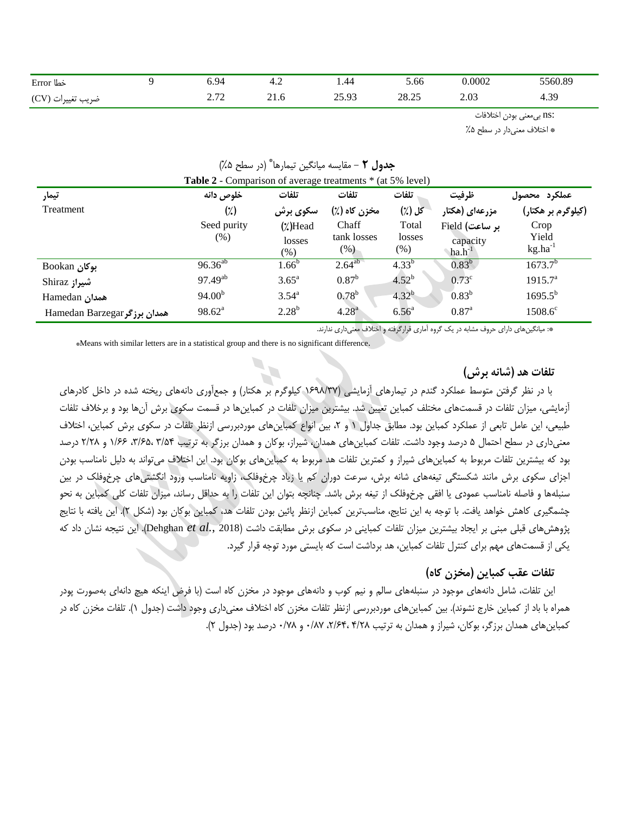| خطا Error         | 94,ر                                      | $+.4$ | 1.44           | 5.66  | 0.0002 | 5560.89 |
|-------------------|-------------------------------------------|-------|----------------|-------|--------|---------|
| ضريب تغييرات (CV) | $\sim$<br>$\overline{a}$ . $\overline{a}$ | 21.0  | າ< ດາ<br>ل ر ب | 28.25 | 2.03   | 4.39    |

:ns بیمعنی بودن اختالفات

\* اختالف معنیدار در سطح %1

| <b>Table 2</b> - Comparison of average treatments * (at 5% level) |                    |                   |                |                   |                   |                     |  |
|-------------------------------------------------------------------|--------------------|-------------------|----------------|-------------------|-------------------|---------------------|--|
| تيمار                                                             | خلوص دانه          | تلفات             | تلفات          | تلفات             | ظرفيت             | عملكرد محصول        |  |
| Treatment                                                         | $(\frac{1}{2})$    | سکوی برش          | مخزن کاه (٪)   | کل (٪)            | مزرعهای (هکتار    | (کیلوگرم بر هکتار)  |  |
|                                                                   | Seed purity        | $(\chi)$ Head     | Chaff          | Total             | بر ساعت) Field    | Crop                |  |
|                                                                   | $(\%)$             | losses            | tank losses    | losses            | capacity          | Yield               |  |
|                                                                   |                    | $(\%)$            | $(\%)$         | $(\%)$            | $ha.h^{-1}$       | $kg.ha^{-1}$        |  |
| بوكان Bookan                                                      | $96.36^{ab}$       | $1.66^{\rm b}$    | $2.64^{ab}$    | $4.33^{b}$        | $0.83^{b}$        | $1673.7^{b}$        |  |
| شيراز Shiraz                                                      | $97.49^{ab}$       | 3.65 <sup>a</sup> | $0.87^{\rm b}$ | $4.52^{b}$        | $0.73^{\circ}$    | 1915.7 <sup>a</sup> |  |
| Hamedan ممدان                                                     | 94.00 <sup>b</sup> | $3.54^{a}$        | $0.78^{b}$     | $4.32^{b}$        | $0.83^{b}$        | $1695.5^{b}$        |  |
| Hamedan Barzegar همدان برزگر                                      | $98.62^a$          | $2.28^{b}$        | $4.28^{a}$     | 6.56 <sup>a</sup> | $0.87^{\text{a}}$ | $1508.6^{\circ}$    |  |

# \* **جدول 2** - مقایسه میانگین تیمارها )در سطح %1(

\*: میانگینهای دارای حروف مشابه در یک گروه آماری قرارگرفته و اختالف معنیداری ندارند.

\*Means with similar letters are in a statistical group and there is no significant difference.

## **تلفات هد )شانه برش(**

با در نظر گرفتن متوسط عملکرد گندم در تیمارهای آزمایشی )1961/38 کیلوگرم بر هکتار( و جمعآوری دانههای ریخته شده در داخل کادرهای آزمایشی، میزان تلفات در قسمتهای مختلف کمباین تعیین شد. بیشترین میزان تلفات در کمباینها در قسمت سکوی برش آنها بود و برخالف تلفات طبیعی، این عامل تابعی از عملکرد کمباین بود. مطابق جداول 1 و ،2 بین انواع کمباینهای موردبررسی ازنظر تلفات در سکوی برش کمباین، اختالف معنیداری در سطح احتمال 1 درصد وجود داشت. تلفات کمباینهای همدان، شیراز، بوکان و همدان برزگر به ترتیب 3/14 ،3/91، 1/99 و 2/21 درصد بود که بیشترین تلفات مربوط به کمباینهای شیراز و کمترین تلفات هد مربوط به کمباینهای بوکان بود. این اختالف میتواند به دلیل نامناسب بودن اجزای سکوی برش مانند شکستگی تیغههای شانه برش، سرعت دوران کم یا زیاد چرخوفلک، زاویه نامناسب ورود انگشتیهای چرخوفلک در بین سنبلهها و فاصله نامناسب عمودی یا افقی چرخوفلک از تیغه برش باشد. چنانچه بتوان این تلفات را به حداقل رساند، میزان تلفات کلی کمباین به نحو چشمگیری کاهش خواهد یافت. با توجه به این نتایج، مناسبترین کمباین ازنظر پائین بودن تلفات هد، کمباین بوکان بود )شکل 2(. این یافته با نتایج پژوهشهای قبلی مبنی بر ایجاد بیشترین میزان تلفات کمباینی در سکوی برش مطابقت داشت )<sup>2018</sup> *.*,*al et* Dehghan). این نتیجه نشان داد که یکی از قسمتهای مهم برای کنترل تلفات کمباین، هد برداشت است که بایستی مورد توجه قرار گیرد.

## **تلفات عقب کمباین )مخزن کاه(**

این تلفات، شامل دانههای موجود در سنبلههای سالم و نیم کوب و دانههای موجود در مخزن کاه است (با فرض اینکه هیچ دانهای بهصورت پودر همراه با باد از کمباین خارج نشوند). بین کمباینهای موردبررسی ازنظر تلفات مخزن کاه اختلاف معنیداری وجود داشت (جدول ۱). تلفات مخزن کاه در کمباینهای همدان برزگر، بوکان، شیراز و همدان به ترتیب 4/21 ،2/94، 0/18 و 0/81 درصد بود )جدول 2(.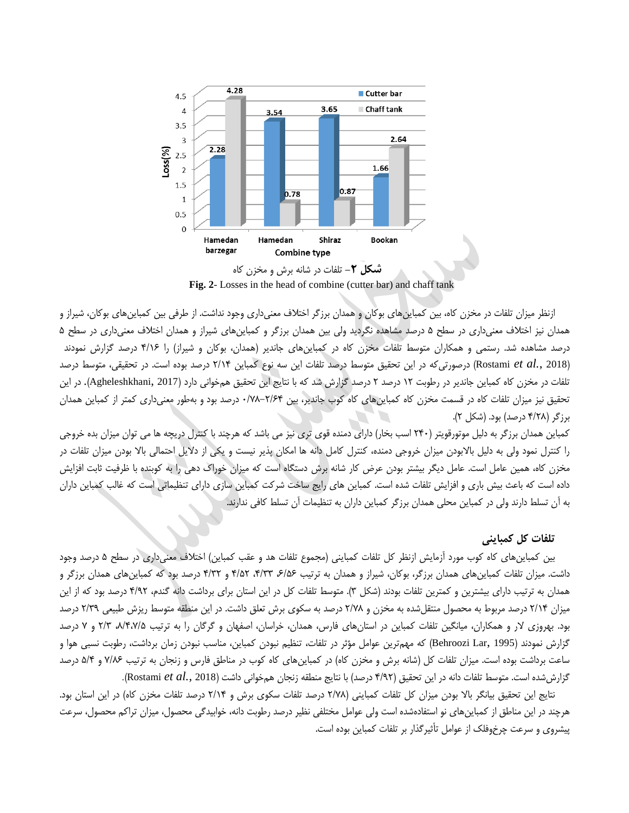

**شکل -2** تلفات در شانه برش و مخزن کاه **Fig. 2**- Losses in the head of combine (cutter bar) and chaff tank

ازنظر میزان تلفات در مخزن کاه، بین کمباینهای بوکان و همدان برزگر اختالف معنیداری وجود نداشت. از طرفی بین کمباینهای بوکان، شیراز و همدان نیز اختالف معنیداری در سطح 1 درصد مشاهده نگردید ولی بین همدان برزگر و کمباینهای شیراز و همدان اختالف معنیداری در سطح 1 درصد مشاهده شد. رستمی و همکاران متوسط تلفات مخزن کاه در کمباینهای جاندیر (همدان، بوکان و شیراز) را ۴/۱۶ درصد گزارش نمودند )<sup>2018</sup> *.*,*al et* Rostami )درصورتیکه در این تحقیق متوسط درصد تلفات این سه نوع کمباین 2/14 درصد بوده است. در تحقیقی، متوسط درصد تلفات در مخزن کاه کمباین جاندیر در رطوبت 12 درصد 2 درصد گزارش شد که با نتایج این تحقیق همخوانی دارد )2017 ,Agheleshkhani). در این تحقیق نیز میزان تلفات کاه در قسمت مخزن کاه کمباینهای کاه کوب جاندیر، بین 0/81-2/94 درصد بود و بهطور معنیداری کمتر از کمباین همدان برزگر )4/21 درصد( بود. )شکل 2(.

کمباین همدان برزگر به دلیل موتورقویتر )240 اسب بخار( دارای دمنده قوی تری نیز می باشد که هرچند با کنترل دریچه ها می توان میزان بده خروجی را کنترل نمود ولی به دلیل باالبودن میزان خروجی دمنده، کنترل کامل دانه ها امکان پذیر نیست و یکی از دالیل احتمالی باال بودن میزان تلفات در مخزن کاه، همین عامل است. عامل دیگر بیشتر بودن عرض کار شانه برش دستگاه است که میزان خوراک دهی را به کوبنده با ظرفیت ثابت افزایش داده است که باعث بیش باری و افزایش تلفات شده است. کمباین های رایج ساخت شرکت کمباین سازی دارای تنظیماتی است که غالب کمباین داران به آن تسلط دارند ولی در کمباین محلی همدان برزگر کمباین داران به تنظیمات آن تسلط کافی ندارند.

## **تلفات کل کمباینی**

بین کمباینهای کاه کوب مورد آزمایش ازنظر کل تلفات کمباینی )مجموع تلفات هد و عقب کمباین( اختالف معنیداری در سطح 1 درصد وجود داشت. میزان تلفات کمباینهای همدان برزگر، بوکان، شیراز و همدان به ترتیب ۶/۵۶ ،۴/۳۳ و ۴/۵۲ درصد بود که کمباینهای همدان برزگر و همدان به ترتیب دارای بیشترین و کمترین تلفات بودند (شکل ۳). متوسط تلفات کل در این استان برای برداشت دانه گندم، ۴/۹۲ درصد بود که از این میزان 2/14 درصد مربوط به محصول منتقلشده به مخزن و 2/81 درصد به سکوی برش تعلق داشت. در این منطقه متوسط ریزش طبیعی 2/36 درصد بود. بهروزی الر و همکاران، میانگین تلفات کمباین در استانهای فارس، همدان، خراسان، اصفهان و گرگان را به ترتیب ،1/4،8/1 2/3 و 8 درصد گزارش نمودند (Behroozi Lar, 1995) که مهمترین عوامل مؤثر در تلفات، تنظیم نبودن کمباین، مناسب نبودن زمان برداشت، رطوبت نسبی هوا و ساعت برداشت بوده است. میزان تلفات کل (شانه برش و مخزن کاه) در کمباینهای کاه کوب در مناطق فارس و زنجان به ترتیب ۷/۸۶ و ۵/۴ درصد گزارششده است. متوسط تلفات دانه در این تحقیق )4/62 درصد( با نتایج منطقه زنجان همخوانی داشت )<sup>2018</sup> *.*,*al et* Rostami).

نتایج این تحقیق بیانگر بالا بودن میزان کل تلفات کمباینی (۲/۷۸ درصد تلفات سکوی برش و ۲/۱۴ درصد تلفات مخزن کاه) در این استان بود. هرچند در این مناطق از کمباینهای نو استفادهشده است ولی عوامل مختلفی نظیر درصد رطوبت دانه، خوابیدگی محصول، میزان تراکم محصول، سرعت پیشروی و سرعت چرخوفلک از عوامل تأثیرگذار بر تلفات کمباین بوده است.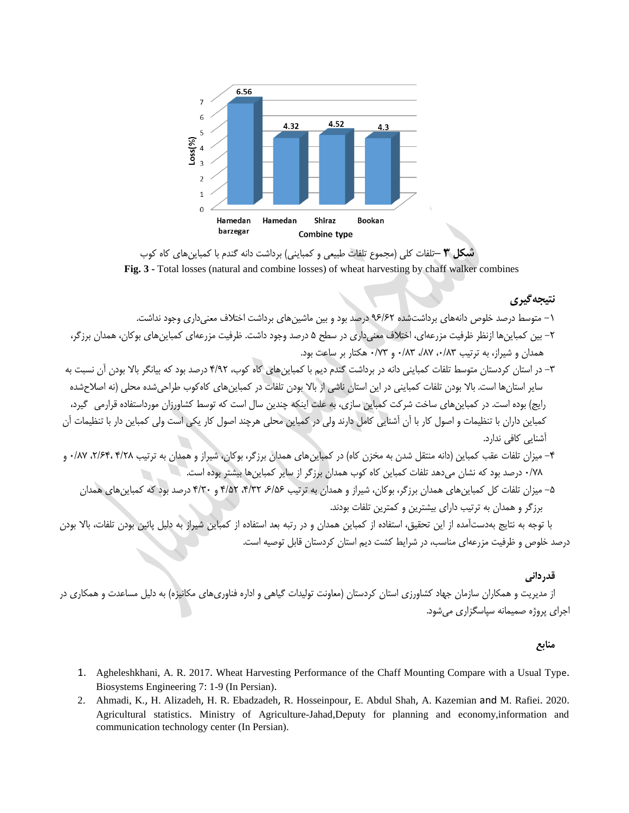

**شکل 3 –**تلفات کلی )مجموع تلفات طبیعی و کمباینی( برداشت دانه گندم با کمباینهای کاه کوب **Fig. 3 -** Total losses (natural and combine losses) of wheat harvesting by chaff walker combines

## **نتیجهگیری**

- -1 متوسط درصد خلوص دانههای برداشتشده 69/92 درصد بود و بین ماشینهای برداشت اختالف معنیداری وجود نداشت.
- -2 بین کمباینها ازنظر ظرفیت مزرعهای، اختالف معنیداری در سطح 1 درصد وجود داشت. ظرفیت مزرعهای کمباینهای بوکان، همدان برزگر، همدان و شیراز، به ترتیب ،0/13 ،/18 0/13 و 0/83 هکتار بر ساعت بود.
- -3 در استان کردستان متوسط تلفات کمباینی دانه در برداشت گندم دیم با کمباینهای کاه کوب، 4/62 درصد بود که بیانگر باال بودن آن نسبت به سایر استانها است. بالا بودن تلفات کمباینی در این استان ناشی از بالا بودن تلفات در کمباینهای کاهکوب طراحی شده محلی (نه اصلاحشده رایج) بوده است. در کمباینهای ساخت شرکت کمباین سازی، به علت اینکه چندین سال است که توسط کشاورزان مورداستفاده قرارمی گیرد، کمباین داران با تنظیمات و اصول کار با آن آشنایی کامل دارند ولی در کمباین محلی هرچند اصول کار یکی است ولی کمباین دار با تنظیمات آن آشنایی کافی ندارد.
- -4 میزان تلفات عقب کمباین )دانه منتقل شدن به مخزن کاه( در کمباینهای همدان برزگر، بوکان، شیراز و همدان به ترتیب 4/21 ،2/94، 0/18 و 0/81 درصد بود که نشان میدهد تلفات کمباین کاه کوب همدان برزگر از سایر کمباینها بیشتر بوده است.
	- -1 میزان تلفات کل کمباینهای همدان برزگر، بوکان، شیراز و همدان به ترتیب ،9/19 ،4/32 4/12 و 4/30 درصد بود که کمباینهای همدان برزگر و همدان به ترتیب دارای بیشترین و کمترین تلفات بودند.

با توجه به نتایج بهدستآمده از این تحقیق، استفاده از کمباین همدان و در رتبه بعد استفاده از کمباین شیراز به دلیل پائین بودن تلفات، باال بودن درصد خلوص و ظرفیت مزرعهای مناسب، در شرایط کشت دیم استان کردستان قابل توصیه است.

**قدردانی** از مدیریت و همکاران سازمان جهاد کشاورزی استان کردستان (معاونت تولیدات گیاهی و اداره فناوریهای مکانیزه) به دلیل مساعدت و همکاری در اجرای پروژه صمیمانه سپاسگزاری میشود.

**منابع**

- 1. Agheleshkhani, A. R. 2017. Wheat Harvesting Performance of the Chaff Mounting Compare with a Usual Type. Biosystems Engineering 7: 1-9 (In Persian).
- 2. Ahmadi, K., H. Alizadeh, H. R. Ebadzadeh, R. Hosseinpour, E. Abdul Shah, A. Kazemian and M. Rafiei. 2020. Agricultural statistics. Ministry of Agriculture-Jahad,Deputy for planning and economy,information and communication technology center (In Persian).